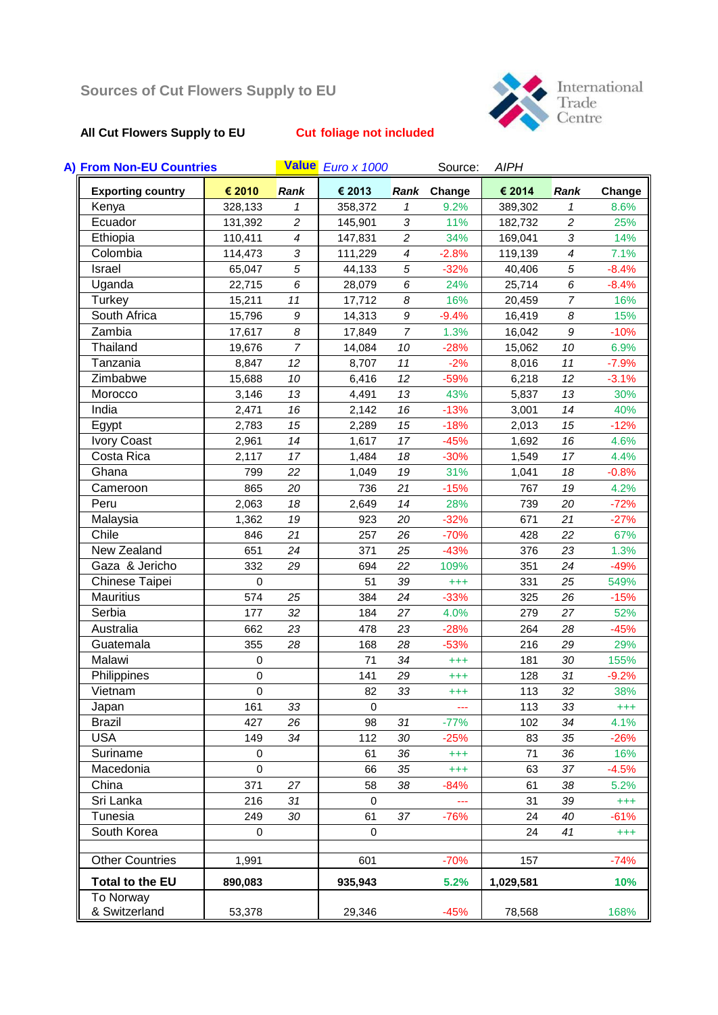# **All Cut Flowers Supply to EU Cut foliage not included**

International<br>Trade<br>Centre

| A) From Non-EU Countries |             |                          | Value Euro x 1000 |                          | Source:     | <b>AIPH</b> |                          |          |
|--------------------------|-------------|--------------------------|-------------------|--------------------------|-------------|-------------|--------------------------|----------|
| <b>Exporting country</b> | € 2010      | <b>Rank</b>              | € 2013            |                          | Rank Change | € 2014      | <b>Rank</b>              | Change   |
| Kenya                    | 328,133     | 1                        | 358,372           | 1                        | 9.2%        | 389,302     | $\mathcal I$             | 8.6%     |
| Ecuador                  | 131,392     | $\overline{c}$           | 145,901           | $\sqrt{3}$               | 11%         | 182,732     | $\overline{c}$           | 25%      |
| Ethiopia                 | 110,411     | $\overline{\mathcal{A}}$ | 147,831           | $\overline{c}$           | 34%         | 169,041     | 3                        | 14%      |
| Colombia                 | 114,473     | 3                        | 111,229           | $\overline{\mathcal{A}}$ | $-2.8%$     | 119,139     | $\overline{\mathcal{A}}$ | 7.1%     |
| Israel                   | 65,047      | 5                        | 44,133            | 5                        | $-32%$      | 40,406      | 5                        | $-8.4%$  |
| Uganda                   | 22,715      | 6                        | 28,079            | 6                        | 24%         | 25,714      | 6                        | $-8.4%$  |
| <b>Turkey</b>            | 15,211      | 11                       | 17,712            | 8                        | 16%         | 20,459      | $\overline{7}$           | 16%      |
| South Africa             | 15,796      | $\boldsymbol{9}$         | 14,313            | 9                        | $-9.4%$     | 16,419      | 8                        | 15%      |
| Zambia                   | 17,617      | 8                        | 17,849            | $\overline{7}$           | 1.3%        | 16,042      | 9                        | $-10%$   |
| Thailand                 | 19,676      | $\overline{7}$           | 14,084            | 10                       | $-28%$      | 15,062      | 10                       | 6.9%     |
| Tanzania                 | 8,847       | 12                       | 8,707             | 11                       | $-2%$       | 8,016       | 11                       | $-7.9%$  |
| Zimbabwe                 | 15,688      | 10                       | 6,416             | 12                       | $-59%$      | 6,218       | 12                       | $-3.1%$  |
| Morocco                  | 3,146       | 13                       | 4,491             | 13                       | 43%         | 5,837       | 13                       | 30%      |
| India                    | 2,471       | 16                       | 2,142             | 16                       | $-13%$      | 3,001       | 14                       | 40%      |
| Egypt                    | 2,783       | 15                       | 2,289             | 15                       | $-18%$      | 2,013       | 15                       | $-12%$   |
| <b>Ivory Coast</b>       | 2,961       | 14                       | 1,617             | 17                       | $-45%$      | 1,692       | 16                       | 4.6%     |
| Costa Rica               | 2,117       | 17                       | 1,484             | 18                       | $-30%$      | 1,549       | 17                       | 4.4%     |
| Ghana                    | 799         | 22                       | 1,049             | 19                       | 31%         | 1,041       | 18                       | $-0.8%$  |
| Cameroon                 | 865         | 20                       | 736               | 21                       | $-15%$      | 767         | 19                       | 4.2%     |
| Peru                     | 2,063       | 18                       | 2,649             | 14                       | 28%         | 739         | 20                       | $-72%$   |
| Malaysia                 | 1,362       | 19                       | 923               | 20                       | $-32%$      | 671         | 21                       | $-27%$   |
| Chile                    | 846         | 21                       | 257               | 26                       | $-70%$      | 428         | 22                       | 67%      |
| New Zealand              | 651         | 24                       | 371               | 25                       | $-43%$      | 376         | 23                       | 1.3%     |
| Gaza & Jericho           | 332         | 29                       | 694               | 22                       | 109%        | 351         | 24                       | $-49%$   |
| Chinese Taipei           | $\mathbf 0$ |                          | 51                | 39                       | $^{+++}$    | 331         | 25                       | 549%     |
| <b>Mauritius</b>         | 574         | 25                       | 384               | 24                       | $-33%$      | 325         | 26                       | $-15%$   |
| Serbia                   | 177         | 32                       | 184               | 27                       | 4.0%        | 279         | 27                       | 52%      |
| Australia                | 662         | 23                       | 478               | 23                       | $-28%$      | 264         | 28                       | $-45%$   |
| Guatemala                | 355         | 28                       | 168               | 28                       | $-53%$      | 216         | 29                       | 29%      |
| Malawi                   | $\mathbf 0$ |                          | 71                | 34                       | $^{+++}$    | 181         | 30                       | 155%     |
| Philippines              | 0           |                          | 141               | 29                       | $^{+++}$    | 128         | 31                       | $-9.2%$  |
| Vietnam                  | $\mathbf 0$ |                          | 82                | 33                       | $^{+++}$    | 113         | 32                       | 38%      |
| Japan                    | 161         | 33                       | $\mathbf 0$       |                          | ---         | 113         | 33                       | $^{+++}$ |
| <b>Brazil</b>            | 427         | 26                       | 98                | 31                       | $-77%$      | 102         | 34                       | 4.1%     |
| <b>USA</b>               | 149         | 34                       | 112               | 30                       | $-25%$      | 83          | 35                       | $-26%$   |
| Suriname                 | 0           |                          | 61                | 36                       | $^{+++}$    | 71          | 36                       | 16%      |
| Macedonia                | $\mathsf 0$ |                          | 66                | 35                       | $^{+++}$    | 63          | 37                       | $-4.5%$  |
| China                    | 371         | 27                       | 58                | 38                       | $-84%$      | 61          | 38                       | 5.2%     |
| Sri Lanka                | 216         | 31                       | $\mathbf 0$       |                          | ---         | 31          | 39                       | $^{+++}$ |
| Tunesia                  | 249         | 30                       | 61                | 37                       | $-76%$      | 24          | 40                       | $-61%$   |
| South Korea              | 0           |                          | $\mathbf 0$       |                          |             | 24          | 41                       | $^{+++}$ |
| <b>Other Countries</b>   | 1,991       |                          | 601               |                          | $-70%$      | 157         |                          | $-74%$   |
| Total to the EU          | 890,083     |                          | 935,943           |                          | 5.2%        | 1,029,581   |                          | 10%      |
| To Norway                |             |                          |                   |                          |             |             |                          |          |
| & Switzerland            | 53,378      |                          | 29,346            |                          | $-45%$      | 78,568      |                          | 168%     |